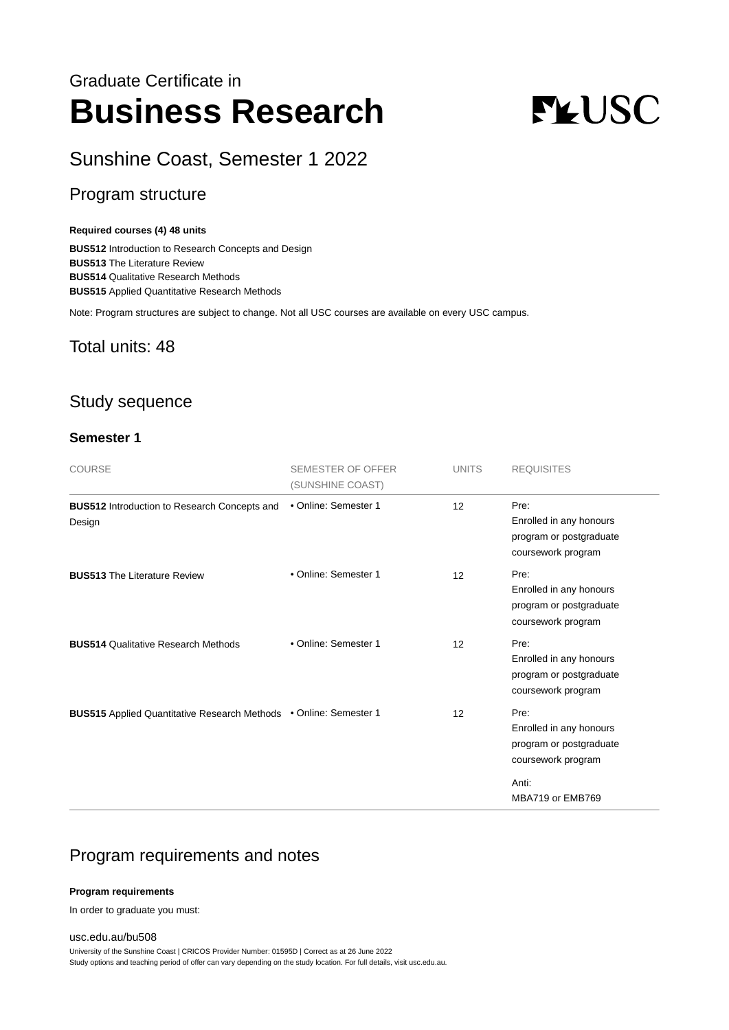# Graduate Certificate in **Business Research**

# **FLUSC**

# Sunshine Coast, Semester 1 2022

# Program structure

#### **Required courses (4) 48 units**

**BUS512** Introduction to Research Concepts and Design **BUS513** The Literature Review **BUS514** Qualitative Research Methods **BUS515** Applied Quantitative Research Methods

Note: Program structures are subject to change. Not all USC courses are available on every USC campus.

#### Total units: 48

## Study sequence

#### **Semester 1**

| <b>COURSE</b>                                                     | <b>SEMESTER OF OFFER</b><br>(SUNSHINE COAST) | <b>UNITS</b> | <b>REQUISITES</b>                                                                                             |
|-------------------------------------------------------------------|----------------------------------------------|--------------|---------------------------------------------------------------------------------------------------------------|
| <b>BUS512</b> Introduction to Research Concepts and<br>Design     | • Online: Semester 1                         | 12           | Pre:<br>Enrolled in any honours<br>program or postgraduate<br>coursework program                              |
| <b>BUS513 The Literature Review</b>                               | • Online: Semester 1                         | 12           | Pre:<br>Enrolled in any honours<br>program or postgraduate<br>coursework program                              |
| <b>BUS514 Qualitative Research Methods</b>                        | • Online: Semester 1                         | 12           | Pre:<br>Enrolled in any honours<br>program or postgraduate<br>coursework program                              |
| BUS515 Applied Quantitative Research Methods . Online: Semester 1 |                                              | 12           | Pre:<br>Enrolled in any honours<br>program or postgraduate<br>coursework program<br>Anti:<br>MBA719 or EMB769 |

### Program requirements and notes

#### **Program requirements**

In order to graduate you must:

[usc.edu.au/bu508](https://www.usc.edu.au/bu508) University of the Sunshine Coast | CRICOS Provider Number: 01595D | Correct as at 26 June 2022 Study options and teaching period of offer can vary depending on the study location. For full details, visit usc.edu.au.